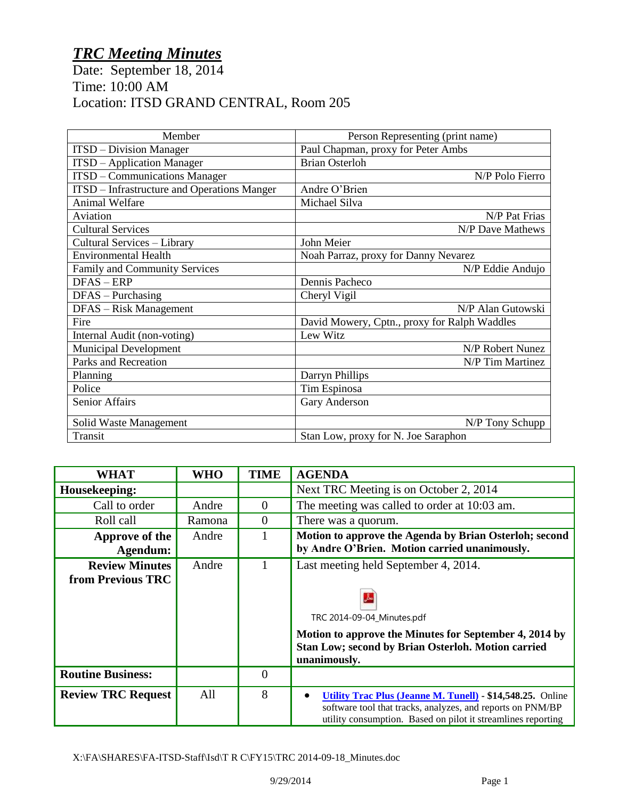## *TRC Meeting Minutes*

Date: September 18, 2014 Time: 10:00 AM Location: ITSD GRAND CENTRAL, Room 205

| Member                                             | Person Representing (print name)             |
|----------------------------------------------------|----------------------------------------------|
| <b>ITSD</b> – Division Manager                     | Paul Chapman, proxy for Peter Ambs           |
| <b>ITSD</b> – Application Manager                  | <b>Brian Osterloh</b>                        |
| <b>ITSD</b> – Communications Manager               | N/P Polo Fierro                              |
| <b>ITSD</b> – Infrastructure and Operations Manger | Andre O'Brien                                |
| <b>Animal Welfare</b>                              | Michael Silva                                |
| Aviation                                           | N/P Pat Frias                                |
| <b>Cultural Services</b>                           | N/P Dave Mathews                             |
| Cultural Services – Library                        | John Meier                                   |
| <b>Environmental Health</b>                        | Noah Parraz, proxy for Danny Nevarez         |
| <b>Family and Community Services</b>               | N/P Eddie Andujo                             |
| DFAS-ERP                                           | Dennis Pacheco                               |
| $DFAS - Purchasing$                                | Cheryl Vigil                                 |
| DFAS - Risk Management                             | N/P Alan Gutowski                            |
| Fire                                               | David Mowery, Cptn., proxy for Ralph Waddles |
| Internal Audit (non-voting)                        | Lew Witz                                     |
| <b>Municipal Development</b>                       | N/P Robert Nunez                             |
| Parks and Recreation                               | N/P Tim Martinez                             |
| Planning                                           | Darryn Phillips                              |
| Police                                             | Tim Espinosa                                 |
| Senior Affairs                                     | Gary Anderson                                |
| Solid Waste Management                             | N/P Tony Schupp                              |
| Transit                                            | Stan Low, proxy for N. Joe Saraphon          |

| <b>WHAT</b>                                       | <b>WHO</b> | <b>TIME</b>    | <b>AGENDA</b>                                                                                                                                                                                             |
|---------------------------------------------------|------------|----------------|-----------------------------------------------------------------------------------------------------------------------------------------------------------------------------------------------------------|
| Housekeeping:                                     |            |                | Next TRC Meeting is on October 2, 2014                                                                                                                                                                    |
| Call to order                                     | Andre      | $\theta$       | The meeting was called to order at 10:03 am.                                                                                                                                                              |
| Roll call                                         | Ramona     | $\overline{0}$ | There was a quorum.                                                                                                                                                                                       |
| Approve of the<br>Agendum:                        | Andre      |                | Motion to approve the Agenda by Brian Osterloh; second<br>by Andre O'Brien. Motion carried unanimously.                                                                                                   |
| <b>Review Minutes</b><br><b>from Previous TRC</b> | Andre      | 1              | Last meeting held September 4, 2014.<br>TRC 2014-09-04_Minutes.pdf<br>Motion to approve the Minutes for September 4, 2014 by<br><b>Stan Low; second by Brian Osterloh. Motion carried</b><br>unanimously. |
| <b>Routine Business:</b>                          |            | $\overline{0}$ |                                                                                                                                                                                                           |
| <b>Review TRC Request</b>                         | All        | 8              | <b>Utility Trac Plus (Jeanne M. Tunell) - \$14,548.25.</b> Online<br>software tool that tracks, analyzes, and reports on PNM/BP<br>utility consumption. Based on pilot it streamlines reporting           |

X:\FA\SHARES\FA-ITSD-Staff\Isd\T R C\FY15\TRC 2014-09-18\_Minutes.doc